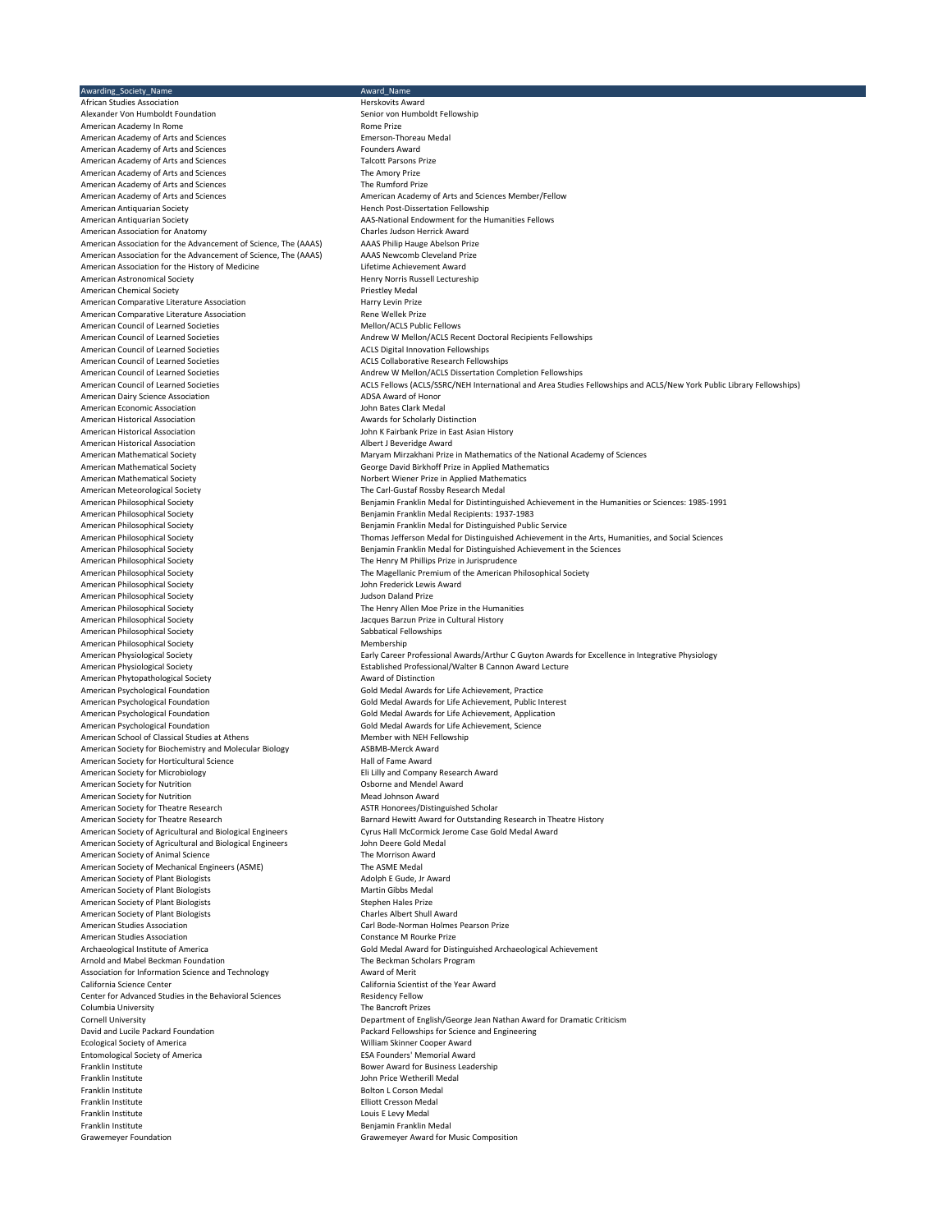Awarding\_Society\_Name<br>
African Studies Association<br>
African Studies Association African Studies Association<br>African Studies Association and a studies are all the Herskovits Award<br>Alexander Von Humboldt Foundation and a studies are all the Senior von Humboldt Fellowship Alexander Von Humboldt Foundation<br>American Academy In Rome<br>Senior Senior Senior Senior Senior Senior Prize American Academy In Rome<br>
American Academy of Arts and Sciences<br>
American Academy of Arts and Sciences<br>
American Academy of Arts and Sciences American Academy of Arts and Sciences American Academy of Arts and Sciences<br>
American Academy of Arts and Sciences<br>
American Academy of Arts and Sciences<br>
American Academy of Arts and Sciences American Academy of Arts and Sciences Talcott Parsons Falcott Parsons For an analyze Talcott Parsons Prize<br>American Academy of Arts and Sciences Talcott Parsons Prize American Academy of Arts and Sciences<br>
American Academy of Arts and Sciences<br>
The Rumford Prize American Academy of Arts and Sciences<br>American Academy of Arts and Sciences American Academy of Arts and Sciences American Academy of Arts and Sciences Member/Fellow<br>American Antiquarian Society American Academy of Arts and Sciences Member/Fellowship American Antiquarian Society<br>
American Antiquarian Society<br>
Antiquarian Society<br>
AAS-National Endowment for the H American Association for Anatomy<br>American Association for the Advancement of Science. The (AAAS) AAAS Philip Hauge Abelson Prize American Association for the Advancement of Science, The (AAAS) AAAS Philip Hauge Abelson Prize<br>American Association for the Advancement of Science. The (AAAS) AAAS Newcomb Cleveland Prize American Association for the Advancement of Science, The (AAAS) AAAS Newcomb Cleveland Prize and Prize and Pri<br>American Association for the History of Medicine Achievement Award American Association for the History of Medicine<br>American Astronomical Society American Chemical Society<br>
American Comparative Literature Association<br>
Harry Levin Prize American Comparative Literature Association American Comparative Literature Association<br>
American Council of Learned Societies<br>
American Council of Learned Societies American Council of Learned Societies<br>American Council of Learned Societies American Council of Learned Societies<br>American Council of Learned Societies American Council of Learned Societies **ACLS Collaborative Research Fellowships**<br>American Council of Learned Societies **American Collaborative Collaboration** Conservation Con American Council of Learned Societies **Andrew W Mellon/ACLS Dissertation Completion Fellowships**<br>Andrew Council of Learned Societies Andrew W Mellows (ACLS CSSRC/NEH International and Area Studies American Dairy Science Association American Economic Association and the state of the state of the John Bates Clark Medal<br>American Historical Association and the School and American Historical American Historical Association American Historical Association and any metallical Awards for Scholarly Distinction American Historical Association American Awards for Scholarly Distinction American Awards for Scholarly Distinction American Awards and Aw American Historical Association<br>American Mathematical Society American Mathematical Society **George David Birkhoff Prize in Applied Mathematics**<br>American Mathematical Society **George Communisty Constant Constant Constant** Numbert Wiener Prize in Applied Mathematics American Mathematical Society **Norbert Wiener Prize in Applied Mathematics**<br>American Meteorological Society **Northematics**<br>The Carl-Gustaf Rossby Research Medal American Meteorological Society **The Carl-Gustaf Rossby Research Medal**<br>American Philosophical Society **The Carlies Constant Carlies Constant** Beniamin Franklin Medal for Distintingui American Philosophical Society **Benjamin Franklin Medal Recipients: 1937-1983**<br>American Philosophical Society **Benjamin Franklin Medal for Distinguished Publi** American Philosophical Society **Benjamin Franklin Medal for Distinguished Public Service**<br>American Philosophical Society **Benjamin Service Service Service Service** Thomas Jefferson Medal for Distinguished Achievement i American Philosophical Society<br>
American Philosophical Society<br>
American Philosophical Society<br>
The Magellanic Premium of the American Pl American Philosophical Society<br>American Philosophical Society المستخدمة المستخدمة المستخدمة المستخدمة المستخدمة المستخدمة المستخدمة المستخدمة **American Philosophical Society<br>American Philosophical Society** American Philosophical Society **The Henry Allen Moe Prize in the Humanities**<br>American Philosophical Society **The Humanities** Jacques Barzun Prize in Cultural History American Philosophical Society American Philosophical Society<br>
American Physiological Society<br>
Early Career American Physiological Society **Established Professional/Walter B Cannon Award Lecture**<br>American Phytopathological Society **Exercise Society Example 2018** Award of Distinction American Phytopathological Society<br>American Psychological Foundation American Psychological Foundation Gold Medal Awards for Life Achievement, Practice American Psychological Foundation Gold Medal Awards for Life Achievement, Public Interest American Psychological Foundation Gold Medal Awards for Life Achievement Gold Medal Awards for Life Achievement, Sciencement, Sciencement, Sciencement, Sciencement, Sciencement, Sciencement, Sciencement, Sciencement, Scien American School of Classical Studies at Athens Member with NEH Fellowship Member with NEH Fellowship Assume that the Assume Member with NEH Fellowship Assume Assume that a meridian and Molecular Biology Assume ASBMB-Merck American Society for Biochemistry and Molecular Biology **ASBMB-Merck Award**<br>American Society for Horticultural Science **American Society Constant Award** American Society for Horticultural Science<br>American Society for Microbiology American Society for Nutrition American Society for Nutrition<br>
American Society for Theatre Research<br>
ASTR Honorees/Distinguished Scholar American Society for Theatre Research<br>American Society for Theatre Research American Society of Agricultural and Biological Engineers Cyrus Hall McCormick J<br>American Society of Agricultural and Biological Engineers Case Gold Medal Award American Society of Agricultural and Biological Engineers **For a Society of Agricultural and Biological Engineers** John Deere Gold Me<br>
American Society of Animal Science **For a Society of Animal Science** The Morrison Award American Society of Animal Science The Morrison Award The Morrison Award The Morrison Award The Morrison Award<br>American Society of Mechanical Engineers (ASME) The ASME Medal American Society of Mechanical Engineers (ASME)<br>American Society of Plant Biologists<br>Adolph E Gude, Jr Award American Society of Plant Biologists<br>
American Society of Plant Biologists<br>
American Society of Plant Biologists<br>
Martin Gibbs Medal American Society of Plant Biologists<br>American Society of Plant Biologists Martin Gibbs Medal<br>Stephen Hales Prize American Society of Plant Biologists American Society of Plant Biologists Charles Albert Shull Award American Studies Association and the Carl Bode-Norman Holmes Pearson Prize<br>American Studies Association Carl Bode and The Constance M Rourke Prize American Studies Association<br>Archaeological Institute of America Arnold and Mabel Beckman Foundation<br>
Association for Information Science and Technology<br>
Association for Information Science and Technology<br>
Award of Merit Association for Information Science and Technology<br>California Science Center Center for Advanced Studies in the Behavioral Sciences<br>Columbia University<br>Columbia University Columbia University<br>Cornell University David and Lucile Packard Foundation **Packard Fellowships for Science and Engineering**<br>Packard Fellowships Food Packard Fellowships for Science and Engineering Packard Fellowships for Science and Engineering Entomological Society of America<br>Franklin Institute Franklin Institute John Price Wetherill Medal Franklin Institute **Franklin Institute Bolton L Corson Medal**<br>Franklin Institute **Bolton Library Corporation Corporation** Elliott Cresson Medal Franklin Institute Elliott Cresson Medal Franklin Institute<br>Franklin Institute Louis E Levy Medal<br>Franklin Institute Louis E Levy Medal Franklin Institute **Franklin Institute** Benjamin Franklin Medal<br>Grawemeyer Foundation **Franklin Medal** Grawemeyer Award for N

AAS-National Endowment for the Humanities Fellows<br>Charles Judson Herrick Award Henry Norris Russell Lectureship<br>Priestley Medal Andrew W Mellon/ACLS Recent Doctoral Recipients Fellowships<br>ACLS Digital Innovation Fellowships ACLS Fellows (ACLS/SSRC/NEH International and Area Studies Fellowships and ACLS/New York Public Library Fellowships)<br>ADSA Award of Honor John K Fairbank Prize in East Asian History<br>Albert J Beveridge Award American Mathematical Society **Mathematical Society** Maryam Mirzakhani Prize in Mathematics of the National Academy of Sciences<br>American Mathematical Society **Mathematical Society** Server of George David Birkhoff Prize in American Philosophical Society **Benjamin Franklin Medal for Distintinguished Achievement in the Humanities or Sciences: 1985-1991**<br>Benjamin Franklin Medal Recipents: 1937-1983 American Philosophical Society Thomas Jefferson Medal for Distinguished Achievement in the Arts, Humanities, and Social Sciences American Philosophical Society **Benjamin Franklin Medal for Distinguished Achievement in the Sciences**<br>American Philosophical Society **Benjamin Benjamin The Henry M Phillips Prize in Jurisprudence** The Magellanic Premium of the American Philosophical Society<br>John Frederick Lewis Award Jacques Barzun Prize in Cultural History<br>Sabbatical Fellowships Early Career Professional Awards/Arthur C Guyton Awards for Excellence in Integrative Physiology Gold Medal Awards for Life Achievement, Application<br>Gold Medal Awards for Life Achievement, Science Eli Lilly and Company Research Award<br>Osborne and Mendel Award Barnard Hewitt Award for Outstanding Research in Theatre History<br>Cyrus Hall McCormick Jerome Case Gold Medal Award Gold Medal Award for Distinguished Archaeological Achievement<br>The Beckman Scholars Program California Scientist of the Year Award<br>Residency Fellow Cornell University<br>
Department of English/George Jean Nathan Award for Dramatic Criticism<br>
Packard Fellowships for Science and Engineering William Skinner Cooper Award<br>ESA Founders' Memorial Award Bower Award for Business Leadership Grawemeyer Award for Music Composition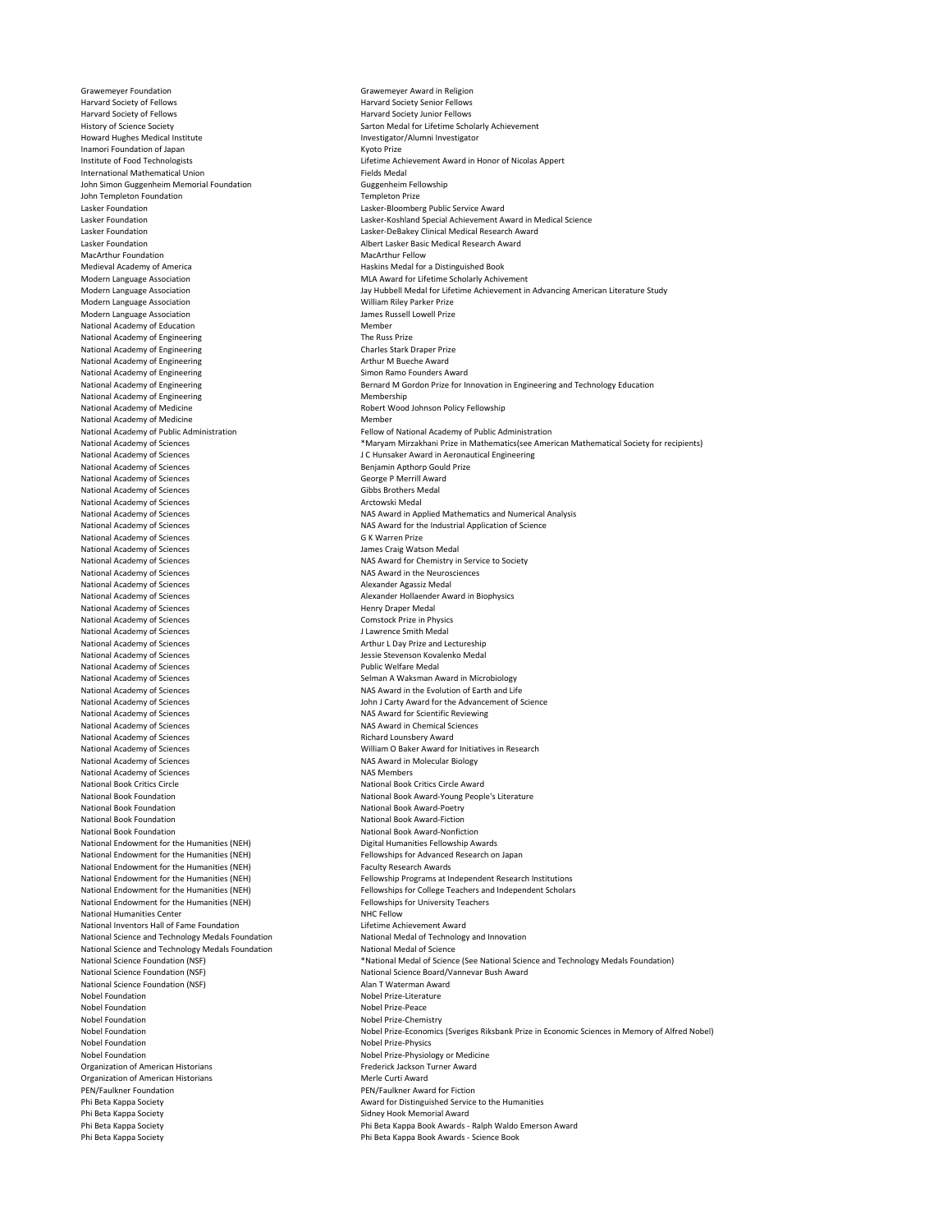Grawemeyer Foundation<br>
Harvard Society of Fellows<br>
Harvard Society Seplows Harvard Society of Fellows<br>
Harvard Society of Fellows<br>
Harvard Society Junior Fellows Harvard Society of Fellows<br>
History of Science Society<br>
History of Science Society<br>
History of Science Society<br>
History of Science Society Howard Hughes Medical Institute Inamori Foundation of Japan <br>
Institute of Food Technologists<br>
Lifetime Acl International Mathematical Union<br>
Iohn Simon Guggenheim Memorial Foundation<br>
John Simon Guggenheim Memorial Foundation<br>
Suggenheim Fellowship John Simon Guggenheim Memorial Foundation Guggenheim Guggenheim Fell<br>John Templeton Foundation Guggenheim Guggenheim Guggenheim Frize John Templeton Foundation Lasker Foundation Lasker-Bloomberg Public Service Award Lasker Foundation Lasker-DeBakey Clinical Medical Research Award MacArthur Foundation<br>Medieval Academy of America Medieval Academy of America<br>Modern Language Association **Haskins Medal for a Distinguished Book**<br>MEA Award for Lifetime Scholarly Achiv Modern Language Association<br>Modern Language Association **Music and Communisty Communisty** Communisty Music Jay Hubbell Medal for Lifetime Achievement in Modern Language Association Modern Language Association and a state of the Society of The Member James Russell Lowell Prize<br>
1991 Member Analysis Andreas and the Member Member Analysis Analysis Analysis Analysis Analysis Analysis Anal<br>
1992 Member An National Academy of Education<br>
National Academy of Engineering<br>
Member Mational Academy of Engineering National Academy of Engineering<br>
National Academy of Engineering The Russ Prize<br>
Charles Stark Draper Prize National Academy of Engineering Charles Stark Draper Prize Charles Stark Draper Prize Charles Stark Draper Pri<br>
National Academy of Engineering Charles Charles Stark Draper Prize Arthur M Bueche Award National Academy of Engineering<br>
National Academy of Engineering Arthur M Bueche Award<br>
Simon Ramo Founders Award National Academy of Engineering<br>National Academy of Engineering National Academy of Engineering National Academy of Medicine<br>
National Academy of Medicine<br>
National Academy of Medicine<br>
National Academy of Medicine National Academy of Medicine<br>National Academy of Public Administration National Academy of Sciences<br>
National Academy of Sciences<br>
National Academy of Sciences<br>
Benjamin Apple Benjamin Apple Prize Prize Prize Prize Prize Prize Prize Prize Prize Prize Prize Prize Prize P National Academy of Sciences<br>
National Academy of Sciences<br>
National Academy of Sciences<br>
Gibbs Brothers Medal National Academy of Sciences<br>
National Academy of Sciences<br>
National Academy of Sciences<br>
Arctowski Medal National Academy of Sciences<br>National Academy of Sciences National Academy of Sciences<br>
National Academy of Sciences<br>
National Academy of Sciences<br>
G K Warren Prize Gang Watson Medal National Academy of Sciences<br>National Academy of Sciences National Academy of Sciences<br>
Nas Award in the Neuros<br>
National Academy of Sciences<br>
Nassaure Alexander Agassiz Medal National Academy of Sciences<br>National Academy of Sciences National Academy of Sciences<br>
National Academy of Sciences<br>
National Academy of Sciences<br>
National Academy of Sciences National Academy of Sciences<br>
National Academy of Sciences<br>
J Lawrence Smith Medal National Academy of Sciences<br>
National Academy of Sciences<br>
National Academy of Sciences<br>  $\blacksquare$ National Academy of Sciences<br>
National Academy of Sciences<br>
National Academy of Sciences National Academy of Sciences National Academy of Sciences<br>
National Academy of Sciences<br>
National Academy of Sciences<br>
Public Welfare Medal Selman A Waksman A National Academy of Sciences Selman A Waksman Award in Microbiology<br>National Academy of Sciences Seleman American Seleman Award in the Evolution of Earth and Lif National Academy of Sciences<br>
National Academy of Sciences<br>
National Academy of Sciences<br>
National Academy of Sciences National Academy of Sciences<br>
National Academy of Sciences<br>
National Academy of Sciences<br>
NAS Award for Scientific Reviewing National Academy of Sciences<br>
National Academy of Sciences<br>
National Academy of Sciences<br>
National Academy of Sciences National Academy of Sciences<br>National Academy of Sciences National Academy of Sciences William O Baker Award for Initiatives in Research National Academy of Sciences<br>National Book Critics Circle National Book Critics Circle National Book Critics Circle Award National Book Foundation<br>
National Book Foundation<br>
National Book Award-Poetry National Book Foundation<br>National Book Foundation National Book Award-Fiction<br>National Book Award-Fiction National Book Foundation<br>
National Book Foundation<br>
National Book Award-Nonfict National Endowment for the Humanities (NEH) <br>
National Endowment for the Humanities (NEH) <br>
Fellowships for Advanced Research on Japan National Endowment for the Humanities (NEH)<br>
National Endowment for the Humanities (NEH)<br>
Faculty Research Awards National Endowment for the Humanities (NEH)<br>National Endowment for the Humanities (NEH) National Endowment for the Humanities (NEH) National Humanities Center New York 1999 and NHC Fellow National Inventors Hall of Fame Foundation<br>
National Science and Technology Medals Foundation<br>
National Medal of Technology and Innovation National Science and Technology Medals Foundation National Medal of Technology Medal of Technology Medals Foundation<br>National Science and Technology Medals Foundation National Medal of Science National Science and Technology Medals Foundation<br>National Science Foundation (NSF) National Science Foundation (NSF)<br>Nobel Foundation Nobel Foundation<br>
Nobel Foundation<br>
Nobel Prize-Peace Nobel Foundation<br>Nobel Foundation Nobel Foundation **Nobel Prize-Physiology or Medicine**<br>
Organization of American Historians **Nobel Prize-Physiology of Medicine**<br> **Prederick Jackson Turner Award** Organization of American Historians Organization of American Historians Merle Curti Award PEN/Faulkner Foundation and the state of PEN/Faulkner Award for Fiction<br>Phi Beta Kappa Society Philosophy Communisty Award for Distinguished Service Phi Beta Kappa Society<br>
Phi Beta Kappa Society<br>
Phi Beta Kappa Society<br>
Award Sidney Hook Memorial Award Phi Beta Kappa Society<br>
Phi Beta Kappa Society<br>
Phi Beta Kappa Book Awards -

Sarton Medal for Lifetime Scholarly Achievement<br>Investigator/Alumni Investigator Lifetime Achievement Award in Honor of Nicolas Appert<br>Fields Medal Lasker Foundation Lasker-Koshland Special Achievement Award in Medical Science Albert Lasker Basic Medical Research Award<br>MacArthur Fellow Jay Hubbell Medal for Lifetime Achievement in Advancing American Literature Study<br>William Rilev Parker Prize Bernard M Gordon Prize for Innovation in Engineering and Technology Education<br>Membershin National Academy of Public Administration **Fellow of National Academy of Public Administration**<br>National Academy of Sciences **Fellow Accord Contration Fellow of Mathematics** (see Amer National Academy of Sciences \* Maryam Mirzakhani Prize in Mathematics(see American Mathematical Society for recipients)<br>1 C Hunsaker Award in Aeronautical Engineering (academy of Science in Mathematical Engineering J C Hunsaker Award in Aeronautical Engineering<br>Beniamin Anthorn Gould Prize National Academy of Sciences NAS Award in Applied Mathematics and Numerical Analysis<br>NAS Award for the Industrial Application of Science NAS Award for the Industrial Application of Science<br>G K Warren Prize NAS Award for Chemistry in Service to Society<br>NAS Award in the Neurosciences Alexander Hollaender Award in Biophysics<br>Henry Draper Medal NAS Award for Scientific Reviewing<br>NAS Award in Chemical Sciences NAS Award in Molecular Biology<br>NAS Members National Book Award-Nonfiction<br>Digital Humanities Fellowshin Awards National Endowment for the Humanities (NEH) Fellowship Programs at Independent Research Institutions<br>National Endowment for the Humanities (NEH) Fellowships for College Teachers and Independent Scholars Fellowships for College Teachers and Independent Scholars<br>Fellowships for University Teachers National Science Foundation (NSF) <br>
National Science Foundation (NSF) <br>
National Science Board/Vannevar Bush Award<br>
National Science Foundation (NSF) <br>
National Science Board/Vannevar Bush Award National Science Board/Vannevar Bush Award<br>Alan T Waterman Award Nobel Prize-Peace<br>Nobel Prize-Chemistry Nobel Foundation **Nobel Prize-Economics (Sveriges Riksbank Prize** in Economic Sciences in Memory of Alfred Nobel)<br>Nobel Foundation Nobel Prize-Physics Prize-Physics Nobel Prize-Physics Phi Beta Kappa Society Phi Beta Kappa Book Awards - Ralph Waldo Emerson Award Phi Beta Kappa Book Awards - Science Book